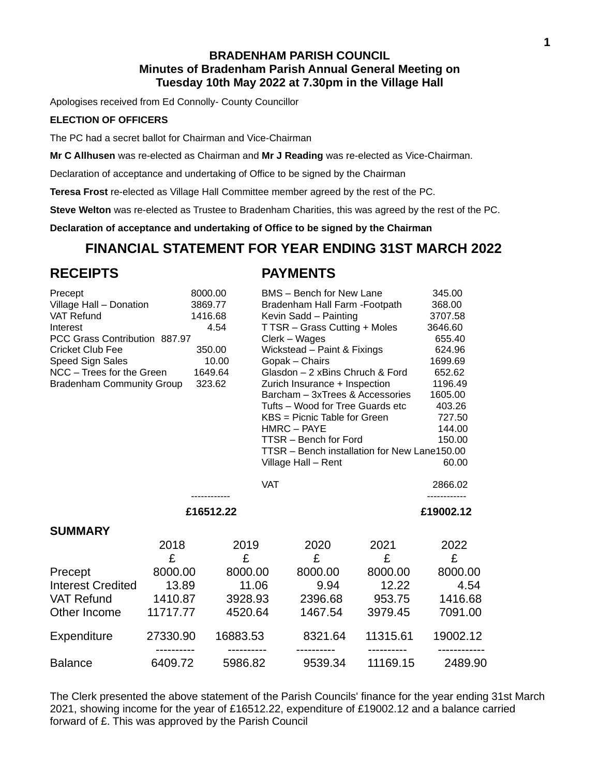## **BRADENHAM PARISH COUNCIL Minutes of Bradenham Parish Annual General Meeting on Tuesday 10th May 2022 at 7.30pm in the Village Hall**

Apologises received from Ed Connolly- County Councillor

#### **ELECTION OF OFFICERS**

The PC had a secret ballot for Chairman and Vice-Chairman

**Mr C Allhusen** was re-elected as Chairman and **Mr J Reading** was re-elected as Vice-Chairman.

Declaration of acceptance and undertaking of Office to be signed by the Chairman

**Teresa Frost** re-elected as Village Hall Committee member agreed by the rest of the PC.

**Steve Welton** was re-elected as Trustee to Bradenham Charities, this was agreed by the rest of the PC.

**Declaration of acceptance and undertaking of Office to be signed by the Chairman**

# **FINANCIAL STATEMENT FOR YEAR ENDING 31ST MARCH 2022**

## **RECEIPTS PAYMENTS**

| 8000.00<br>Precept<br>Village Hall - Donation<br>3869.77<br><b>VAT Refund</b><br>1416.68<br>4.54<br>Interest<br>PCC Grass Contribution 887.97<br><b>Cricket Club Fee</b><br>350.00<br>Speed Sign Sales<br>10.00 |                                              |                                              | <b>BMS</b> – Bench for New Lane<br>Bradenham Hall Farm - Footpath<br>Kevin Sadd - Painting<br>T TSR - Grass Cutting + Moles | 345.00<br>368.00<br>3707.58<br>3646.60<br>655.40<br>624.96<br>1699.69 |              |
|-----------------------------------------------------------------------------------------------------------------------------------------------------------------------------------------------------------------|----------------------------------------------|----------------------------------------------|-----------------------------------------------------------------------------------------------------------------------------|-----------------------------------------------------------------------|--------------|
|                                                                                                                                                                                                                 |                                              | Clerk – Wages<br>Wickstead - Paint & Fixings |                                                                                                                             |                                                                       |              |
|                                                                                                                                                                                                                 |                                              |                                              | Gopak - Chairs                                                                                                              |                                                                       |              |
| NCC - Trees for the Green<br>1649.64                                                                                                                                                                            |                                              |                                              | Glasdon - 2 xBins Chruch & Ford                                                                                             | 652.62                                                                |              |
| 323.62<br><b>Bradenham Community Group</b>                                                                                                                                                                      |                                              |                                              | Zurich Insurance + Inspection<br>Barcham - 3xTrees & Accessories                                                            | 1196.49<br>1605.00                                                    |              |
|                                                                                                                                                                                                                 |                                              |                                              | Tufts - Wood for Tree Guards etc                                                                                            | 403.26                                                                |              |
|                                                                                                                                                                                                                 |                                              | KBS = Picnic Table for Green                 |                                                                                                                             |                                                                       | 727.50       |
|                                                                                                                                                                                                                 |                                              |                                              | HMRC - PAYE                                                                                                                 | 144.00                                                                |              |
| TTSR - Bench for Ford                                                                                                                                                                                           |                                              |                                              |                                                                                                                             |                                                                       | 150.00       |
|                                                                                                                                                                                                                 | TTSR - Bench installation for New Lane150.00 |                                              |                                                                                                                             |                                                                       |              |
|                                                                                                                                                                                                                 | 60.00                                        |                                              |                                                                                                                             |                                                                       |              |
|                                                                                                                                                                                                                 |                                              |                                              | <b>VAT</b>                                                                                                                  |                                                                       | 2866.02<br>. |
|                                                                                                                                                                                                                 | £16512.22                                    | £19002.12                                    |                                                                                                                             |                                                                       |              |
| <b>SUMMARY</b>                                                                                                                                                                                                  |                                              |                                              |                                                                                                                             |                                                                       |              |
|                                                                                                                                                                                                                 | 2018                                         | 2019                                         | 2020                                                                                                                        | 2021                                                                  | 2022         |
|                                                                                                                                                                                                                 | £                                            | £                                            | £                                                                                                                           | £                                                                     | £            |
| Precept                                                                                                                                                                                                         | 8000.00                                      | 8000.00                                      | 8000.00                                                                                                                     | 8000.00                                                               | 8000.00      |
| <b>Interest Credited</b>                                                                                                                                                                                        | 13.89                                        | 11.06                                        | 9.94                                                                                                                        | 12.22                                                                 | 4.54         |
| <b>VAT Refund</b>                                                                                                                                                                                               | 1410.87                                      | 3928.93                                      | 2396.68                                                                                                                     | 953.75                                                                | 1416.68      |
| Other Income                                                                                                                                                                                                    | 11717.77                                     | 4520.64                                      | 1467.54                                                                                                                     | 3979.45                                                               | 7091.00      |
| <b>Expenditure</b>                                                                                                                                                                                              | 27330.90                                     | 16883.53                                     | 8321.64                                                                                                                     | 11315.61                                                              | 19002.12     |
| <b>Balance</b>                                                                                                                                                                                                  | 6409.72                                      | 5986.82                                      | 9539.34                                                                                                                     | 11169.15                                                              | 2489.90      |

The Clerk presented the above statement of the Parish Councils' finance for the year ending 31st March 2021, showing income for the year of £16512.22, expenditure of £19002.12 and a balance carried forward of £. This was approved by the Parish Council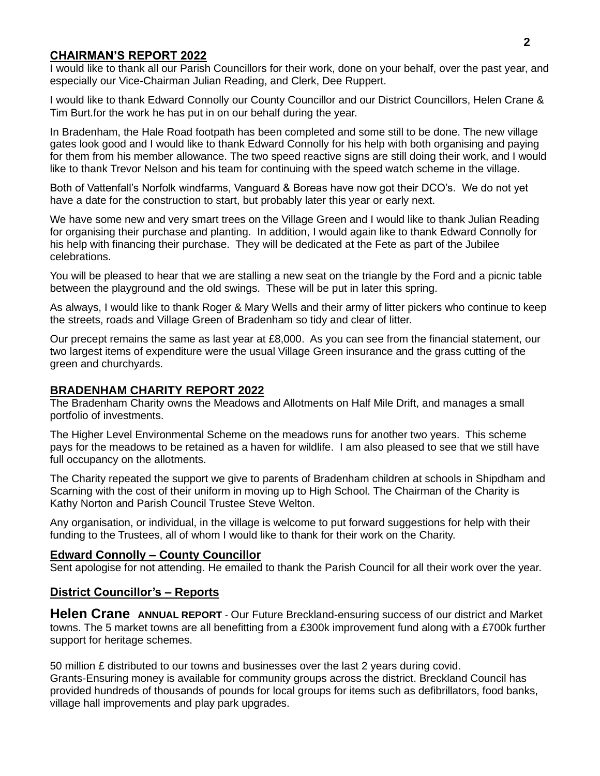## **CHAIRMAN'S REPORT 2022**

I would like to thank all our Parish Councillors for their work, done on your behalf, over the past year, and especially our Vice-Chairman Julian Reading, and Clerk, Dee Ruppert.

I would like to thank Edward Connolly our County Councillor and our District Councillors, Helen Crane & Tim Burt.for the work he has put in on our behalf during the year.

In Bradenham, the Hale Road footpath has been completed and some still to be done. The new village gates look good and I would like to thank Edward Connolly for his help with both organising and paying for them from his member allowance. The two speed reactive signs are still doing their work, and I would like to thank Trevor Nelson and his team for continuing with the speed watch scheme in the village.

Both of Vattenfall's Norfolk windfarms, Vanguard & Boreas have now got their DCO's. We do not yet have a date for the construction to start, but probably later this year or early next.

We have some new and very smart trees on the Village Green and I would like to thank Julian Reading for organising their purchase and planting. In addition, I would again like to thank Edward Connolly for his help with financing their purchase. They will be dedicated at the Fete as part of the Jubilee celebrations.

You will be pleased to hear that we are stalling a new seat on the triangle by the Ford and a picnic table between the playground and the old swings. These will be put in later this spring.

As always, I would like to thank Roger & Mary Wells and their army of litter pickers who continue to keep the streets, roads and Village Green of Bradenham so tidy and clear of litter.

Our precept remains the same as last year at £8,000. As you can see from the financial statement, our two largest items of expenditure were the usual Village Green insurance and the grass cutting of the green and churchyards.

## **BRADENHAM CHARITY REPORT 2022**

The Bradenham Charity owns the Meadows and Allotments on Half Mile Drift, and manages a small portfolio of investments.

The Higher Level Environmental Scheme on the meadows runs for another two years. This scheme pays for the meadows to be retained as a haven for wildlife. I am also pleased to see that we still have full occupancy on the allotments.

The Charity repeated the support we give to parents of Bradenham children at schools in Shipdham and Scarning with the cost of their uniform in moving up to High School. The Chairman of the Charity is Kathy Norton and Parish Council Trustee Steve Welton.

Any organisation, or individual, in the village is welcome to put forward suggestions for help with their funding to the Trustees, all of whom I would like to thank for their work on the Charity.

#### **Edward Connolly – County Councillor**

Sent apologise for not attending. He emailed to thank the Parish Council for all their work over the year.

#### **District Councillor's – Reports**

**Helen Crane** ANNUAL REPORT - Our Future Breckland-ensuring success of our district and Market towns. The 5 market towns are all benefitting from a £300k improvement fund along with a £700k further support for heritage schemes.

50 million £ distributed to our towns and businesses over the last 2 years during covid. Grants-Ensuring money is available for community groups across the district. Breckland Council has provided hundreds of thousands of pounds for local groups for items such as defibrillators, food banks, village hall improvements and play park upgrades.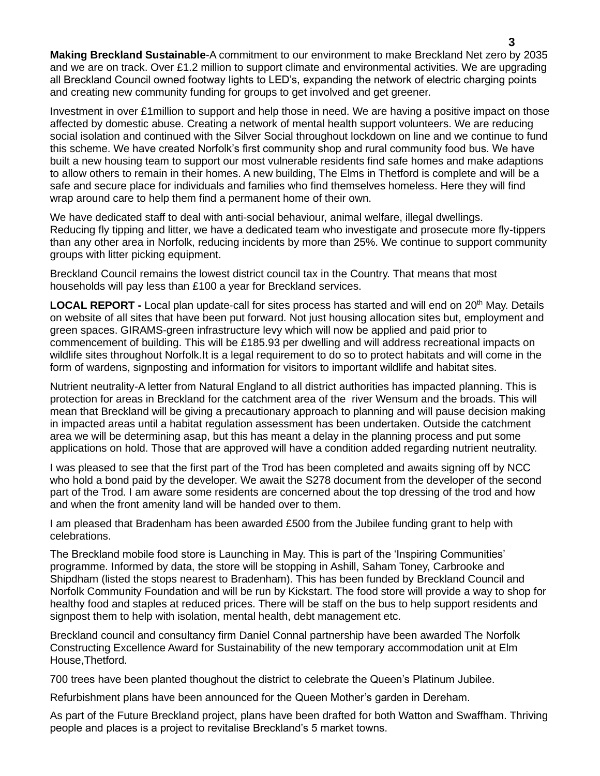**Making Breckland Sustainable**-A commitment to our environment to make Breckland Net zero by 2035 and we are on track. Over £1.2 million to support climate and environmental activities. We are upgrading all Breckland Council owned footway lights to LED's, expanding the network of electric charging points and creating new community funding for groups to get involved and get greener.

Investment in over £1million to support and help those in need. We are having a positive impact on those affected by domestic abuse. Creating a network of mental health support volunteers. We are reducing social isolation and continued with the Silver Social throughout lockdown on line and we continue to fund this scheme. We have created Norfolk's first community shop and rural community food bus. We have built a new housing team to support our most vulnerable residents find safe homes and make adaptions to allow others to remain in their homes. A new building, The Elms in Thetford is complete and will be a safe and secure place for individuals and families who find themselves homeless. Here they will find wrap around care to help them find a permanent home of their own.

We have dedicated staff to deal with anti-social behaviour, animal welfare, illegal dwellings. Reducing fly tipping and litter, we have a dedicated team who investigate and prosecute more fly-tippers than any other area in Norfolk, reducing incidents by more than 25%. We continue to support community groups with litter picking equipment.

Breckland Council remains the lowest district council tax in the Country. That means that most households will pay less than £100 a year for Breckland services.

**LOCAL REPORT** - Local plan update-call for sites process has started and will end on 20<sup>th</sup> May. Details on website of all sites that have been put forward. Not just housing allocation sites but, employment and green spaces. GIRAMS-green infrastructure levy which will now be applied and paid prior to commencement of building. This will be £185.93 per dwelling and will address recreational impacts on wildlife sites throughout Norfolk.It is a legal requirement to do so to protect habitats and will come in the form of wardens, signposting and information for visitors to important wildlife and habitat sites.

Nutrient neutrality-A letter from Natural England to all district authorities has impacted planning. This is protection for areas in Breckland for the catchment area of the river Wensum and the broads. This will mean that Breckland will be giving a precautionary approach to planning and will pause decision making in impacted areas until a habitat regulation assessment has been undertaken. Outside the catchment area we will be determining asap, but this has meant a delay in the planning process and put some applications on hold. Those that are approved will have a condition added regarding nutrient neutrality.

I was pleased to see that the first part of the Trod has been completed and awaits signing off by NCC who hold a bond paid by the developer. We await the S278 document from the developer of the second part of the Trod. I am aware some residents are concerned about the top dressing of the trod and how and when the front amenity land will be handed over to them.

I am pleased that Bradenham has been awarded £500 from the Jubilee funding grant to help with celebrations.

The Breckland mobile food store is Launching in May. This is part of the 'Inspiring Communities' programme. Informed by data, the store will be stopping in Ashill, Saham Toney, Carbrooke and Shipdham (listed the stops nearest to Bradenham). This has been funded by Breckland Council and Norfolk Community Foundation and will be run by Kickstart. The food store will provide a way to shop for healthy food and staples at reduced prices. There will be staff on the bus to help support residents and signpost them to help with isolation, mental health, debt management etc.

Breckland council and consultancy firm Daniel Connal partnership have been awarded The Norfolk Constructing Excellence Award for Sustainability of the new temporary accommodation unit at Elm House,Thetford.

700 trees have been planted thoughout the district to celebrate the Queen's Platinum Jubilee.

Refurbishment plans have been announced for the Queen Mother's garden in Dereham.

As part of the Future Breckland project, plans have been drafted for both Watton and Swaffham. Thriving people and places is a project to revitalise Breckland's 5 market towns.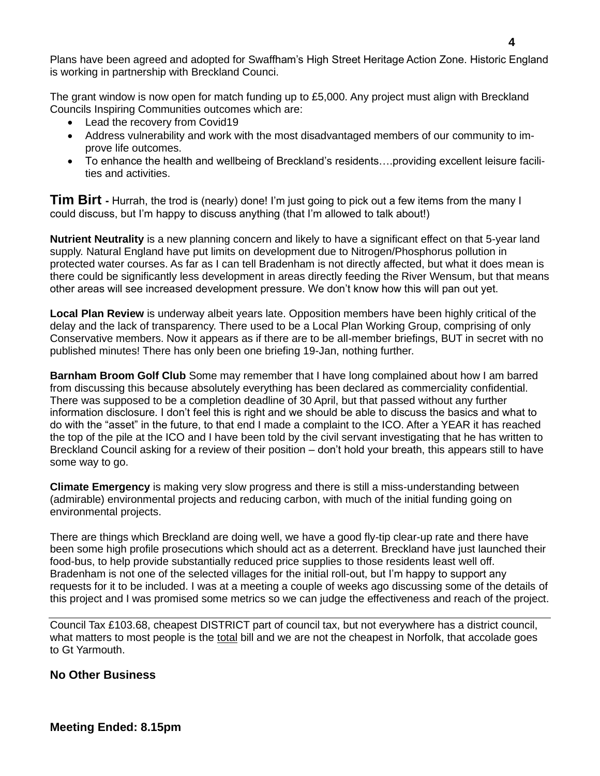Plans have been agreed and adopted for Swaffham's High Street Heritage Action Zone. Historic England is working in partnership with Breckland Counci.

The grant window is now open for match funding up to £5,000. Any project must align with Breckland Councils Inspiring Communities outcomes which are:

- Lead the recovery from Covid19
- Address vulnerability and work with the most disadvantaged members of our community to improve life outcomes.
- To enhance the health and wellbeing of Breckland's residents….providing excellent leisure facilities and activities.

**Tim Birt -** Hurrah, the trod is (nearly) done! I'm just going to pick out a few items from the many I could discuss, but I'm happy to discuss anything (that I'm allowed to talk about!)

**Nutrient Neutrality** is a new planning concern and likely to have a significant effect on that 5-year land supply. Natural England have put limits on development due to Nitrogen/Phosphorus pollution in protected water courses. As far as I can tell Bradenham is not directly affected, but what it does mean is there could be significantly less development in areas directly feeding the River Wensum, but that means other areas will see increased development pressure. We don't know how this will pan out yet.

**Local Plan Review** is underway albeit years late. Opposition members have been highly critical of the delay and the lack of transparency. There used to be a Local Plan Working Group, comprising of only Conservative members. Now it appears as if there are to be all-member briefings, BUT in secret with no published minutes! There has only been one briefing 19-Jan, nothing further.

**Barnham Broom Golf Club** Some may remember that I have long complained about how I am barred from discussing this because absolutely everything has been declared as commerciality confidential. There was supposed to be a completion deadline of 30 April, but that passed without any further information disclosure. I don't feel this is right and we should be able to discuss the basics and what to do with the "asset" in the future, to that end I made a complaint to the ICO. After a YEAR it has reached the top of the pile at the ICO and I have been told by the civil servant investigating that he has written to Breckland Council asking for a review of their position – don't hold your breath, this appears still to have some way to go.

**Climate Emergency** is making very slow progress and there is still a miss-understanding between (admirable) environmental projects and reducing carbon, with much of the initial funding going on environmental projects.

There are things which Breckland are doing well, we have a good fly-tip clear-up rate and there have been some high profile prosecutions which should act as a deterrent. Breckland have just launched their food-bus, to help provide substantially reduced price supplies to those residents least well off. Bradenham is not one of the selected villages for the initial roll-out, but I'm happy to support any requests for it to be included. I was at a meeting a couple of weeks ago discussing some of the details of this project and I was promised some metrics so we can judge the effectiveness and reach of the project.

Council Tax £103.68, cheapest DISTRICT part of council tax, but not everywhere has a district council, what matters to most people is the total bill and we are not the cheapest in Norfolk, that accolade goes to Gt Yarmouth.

## **No Other Business**

**Meeting Ended: 8.15pm**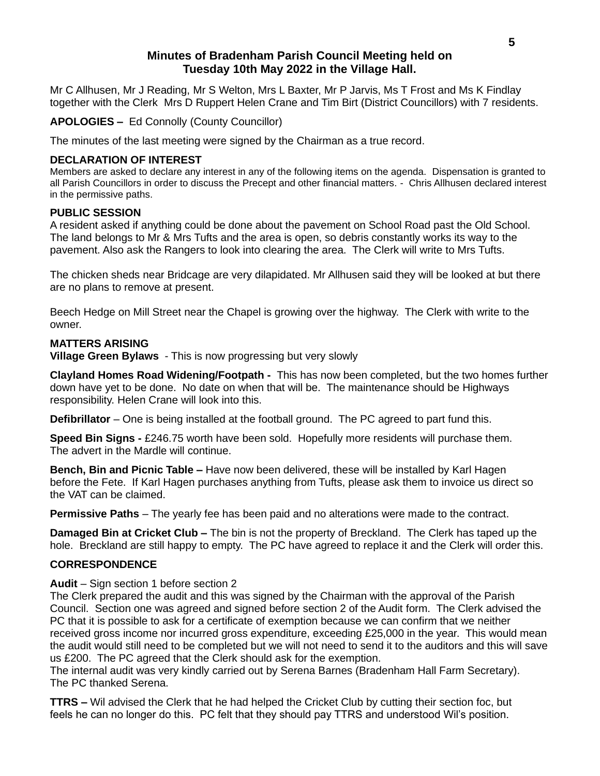## **Minutes of Bradenham Parish Council Meeting held on Tuesday 10th May 2022 in the Village Hall.**

Mr C Allhusen, Mr J Reading, Mr S Welton, Mrs L Baxter, Mr P Jarvis, Ms T Frost and Ms K Findlay together with the Clerk Mrs D Ruppert Helen Crane and Tim Birt (District Councillors) with 7 residents.

**APOLOGIES –** Ed Connolly (County Councillor)

The minutes of the last meeting were signed by the Chairman as a true record.

#### **DECLARATION OF INTEREST**

Members are asked to declare any interest in any of the following items on the agenda. Dispensation is granted to all Parish Councillors in order to discuss the Precept and other financial matters. - Chris Allhusen declared interest in the permissive paths.

#### **PUBLIC SESSION**

A resident asked if anything could be done about the pavement on School Road past the Old School. The land belongs to Mr & Mrs Tufts and the area is open, so debris constantly works its way to the pavement. Also ask the Rangers to look into clearing the area. The Clerk will write to Mrs Tufts.

The chicken sheds near Bridcage are very dilapidated. Mr Allhusen said they will be looked at but there are no plans to remove at present.

Beech Hedge on Mill Street near the Chapel is growing over the highway. The Clerk with write to the owner.

#### **MATTERS ARISING**

**Village Green Bylaws** - This is now progressing but very slowly

**Clayland Homes Road Widening/Footpath -** This has now been completed, but the two homes further down have yet to be done. No date on when that will be. The maintenance should be Highways responsibility. Helen Crane will look into this.

**Defibrillator** – One is being installed at the football ground. The PC agreed to part fund this.

**Speed Bin Signs -** £246.75 worth have been sold. Hopefully more residents will purchase them. The advert in the Mardle will continue.

**Bench, Bin and Picnic Table –** Have now been delivered, these will be installed by Karl Hagen before the Fete. If Karl Hagen purchases anything from Tufts, please ask them to invoice us direct so the VAT can be claimed.

**Permissive Paths** – The yearly fee has been paid and no alterations were made to the contract.

**Damaged Bin at Cricket Club –** The bin is not the property of Breckland. The Clerk has taped up the hole. Breckland are still happy to empty. The PC have agreed to replace it and the Clerk will order this.

#### **CORRESPONDENCE**

**Audit** – Sign section 1 before section 2

The Clerk prepared the audit and this was signed by the Chairman with the approval of the Parish Council. Section one was agreed and signed before section 2 of the Audit form. The Clerk advised the PC that it is possible to ask for a certificate of exemption because we can confirm that we neither received gross income nor incurred gross expenditure, exceeding £25,000 in the year. This would mean the audit would still need to be completed but we will not need to send it to the auditors and this will save us £200. The PC agreed that the Clerk should ask for the exemption.

The internal audit was very kindly carried out by Serena Barnes (Bradenham Hall Farm Secretary). The PC thanked Serena.

**TTRS –** Wil advised the Clerk that he had helped the Cricket Club by cutting their section foc, but feels he can no longer do this. PC felt that they should pay TTRS and understood Wil's position.